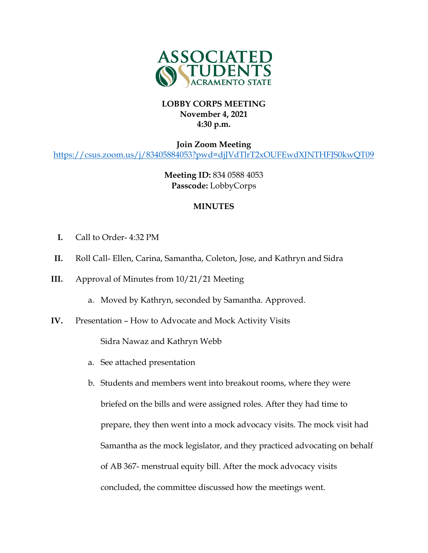

## **LOBBY CORPS MEETING November 4, 2021 4:30 p.m.**

**Join Zoom Meeting** <https://csus.zoom.us/j/83405884053?pwd=djJVdTlrT2xOUFEwdXJNTHFJS0kwQT09>

> **Meeting ID:** 834 0588 4053 **Passcode:** LobbyCorps

## **MINUTES**

- **I.** Call to Order- 4:32 PM
- **II.** Roll Call- Ellen, Carina, Samantha, Coleton, Jose, and Kathryn and Sidra
- **III.** Approval of Minutes from 10/21/21 Meeting
	- a. Moved by Kathryn, seconded by Samantha. Approved.
- **IV.** Presentation How to Advocate and Mock Activity Visits

Sidra Nawaz and Kathryn Webb

- a. See attached presentation
- b. Students and members went into breakout rooms, where they were briefed on the bills and were assigned roles. After they had time to prepare, they then went into a mock advocacy visits. The mock visit had Samantha as the mock legislator, and they practiced advocating on behalf of AB 367- menstrual equity bill. After the mock advocacy visits concluded, the committee discussed how the meetings went.